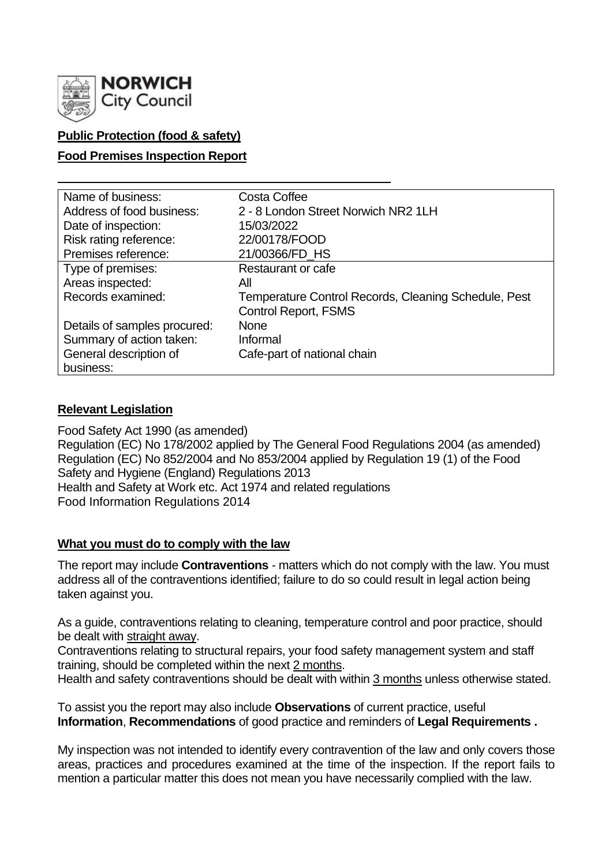

# **Public Protection (food & safety)**

## **Food Premises Inspection Report**

| Name of business:            | Costa Coffee                                                                        |
|------------------------------|-------------------------------------------------------------------------------------|
| Address of food business:    | 2 - 8 London Street Norwich NR2 1LH                                                 |
| Date of inspection:          | 15/03/2022                                                                          |
| Risk rating reference:       | 22/00178/FOOD                                                                       |
| Premises reference:          | 21/00366/FD_HS                                                                      |
| Type of premises:            | Restaurant or cafe                                                                  |
| Areas inspected:             | All                                                                                 |
| Records examined:            | Temperature Control Records, Cleaning Schedule, Pest<br><b>Control Report, FSMS</b> |
| Details of samples procured: | <b>None</b>                                                                         |
| Summary of action taken:     | Informal                                                                            |
| General description of       | Cafe-part of national chain                                                         |
| business:                    |                                                                                     |

# **Relevant Legislation**

Food Safety Act 1990 (as amended) Regulation (EC) No 178/2002 applied by The General Food Regulations 2004 (as amended) Regulation (EC) No 852/2004 and No 853/2004 applied by Regulation 19 (1) of the Food Safety and Hygiene (England) Regulations 2013 Health and Safety at Work etc. Act 1974 and related regulations Food Information Regulations 2014

### **What you must do to comply with the law**

The report may include **Contraventions** - matters which do not comply with the law. You must address all of the contraventions identified; failure to do so could result in legal action being taken against you.

As a guide, contraventions relating to cleaning, temperature control and poor practice, should be dealt with straight away.

Contraventions relating to structural repairs, your food safety management system and staff training, should be completed within the next 2 months.

Health and safety contraventions should be dealt with within 3 months unless otherwise stated.

To assist you the report may also include **Observations** of current practice, useful **Information**, **Recommendations** of good practice and reminders of **Legal Requirements .**

My inspection was not intended to identify every contravention of the law and only covers those areas, practices and procedures examined at the time of the inspection. If the report fails to mention a particular matter this does not mean you have necessarily complied with the law.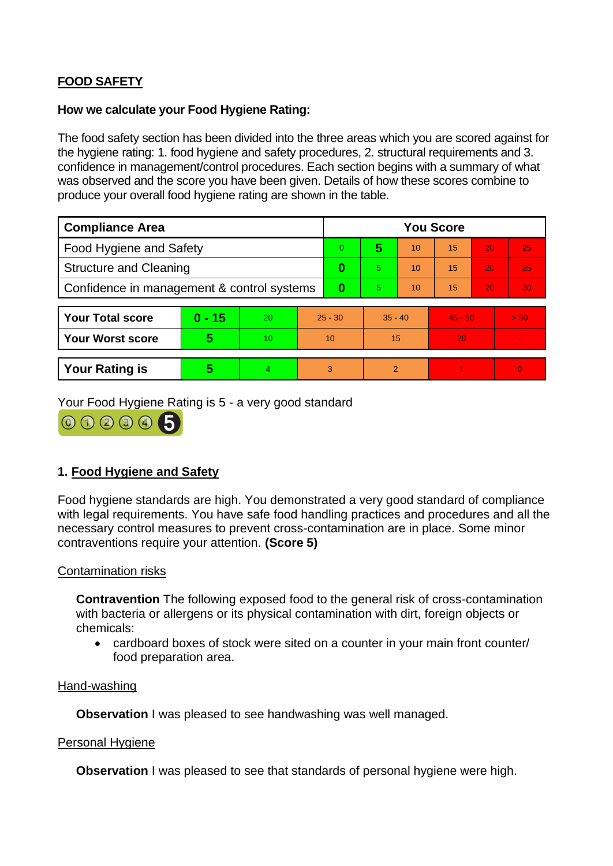# **FOOD SAFETY**

### **How we calculate your Food Hygiene Rating:**

The food safety section has been divided into the three areas which you are scored against for the hygiene rating: 1. food hygiene and safety procedures, 2. structural requirements and 3. confidence in management/control procedures. Each section begins with a summary of what was observed and the score you have been given. Details of how these scores combine to produce your overall food hygiene rating are shown in the table.

| <b>Compliance Area</b>                     |          |    | <b>You Score</b> |    |           |    |           |    |                |  |
|--------------------------------------------|----------|----|------------------|----|-----------|----|-----------|----|----------------|--|
| Food Hygiene and Safety                    |          |    |                  | 0  | 5         | 10 | 15        | 20 | 25             |  |
| <b>Structure and Cleaning</b>              |          |    | $\bf{0}$         | 5. | 10        | 15 | 20        | 25 |                |  |
| Confidence in management & control systems |          |    | $\bf{0}$         | 5. | 10        | 15 | 20        | 30 |                |  |
|                                            |          |    |                  |    |           |    |           |    |                |  |
| <b>Your Total score</b>                    | $0 - 15$ | 20 | $25 - 30$        |    | $35 - 40$ |    | $45 - 50$ |    | > 50           |  |
| <b>Your Worst score</b>                    | 5        | 10 | 10               |    | 15        |    | 20        |    |                |  |
|                                            |          |    |                  |    |           |    |           |    |                |  |
| <b>Your Rating is</b>                      | 5        | 4  |                  | 3  | 2         |    |           |    | $\overline{0}$ |  |

Your Food Hygiene Rating is 5 - a very good standard



# **1. Food Hygiene and Safety**

Food hygiene standards are high. You demonstrated a very good standard of compliance with legal requirements. You have safe food handling practices and procedures and all the necessary control measures to prevent cross-contamination are in place. Some minor contraventions require your attention. **(Score 5)**

### Contamination risks

**Contravention** The following exposed food to the general risk of cross-contamination with bacteria or allergens or its physical contamination with dirt, foreign objects or chemicals:

• cardboard boxes of stock were sited on a counter in your main front counter/ food preparation area.

#### Hand-washing

**Observation** I was pleased to see handwashing was well managed.

#### Personal Hygiene

**Observation** I was pleased to see that standards of personal hygiene were high.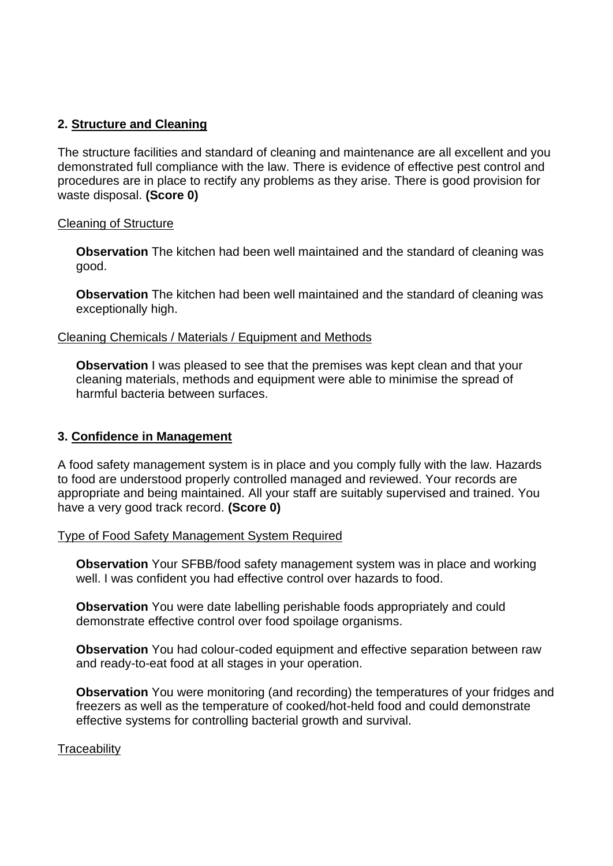# **2. Structure and Cleaning**

The structure facilities and standard of cleaning and maintenance are all excellent and you demonstrated full compliance with the law. There is evidence of effective pest control and procedures are in place to rectify any problems as they arise. There is good provision for waste disposal. **(Score 0)**

# Cleaning of Structure

**Observation** The kitchen had been well maintained and the standard of cleaning was good.

**Observation** The kitchen had been well maintained and the standard of cleaning was exceptionally high.

# Cleaning Chemicals / Materials / Equipment and Methods

**Observation** I was pleased to see that the premises was kept clean and that your cleaning materials, methods and equipment were able to minimise the spread of harmful bacteria between surfaces.

# **3. Confidence in Management**

A food safety management system is in place and you comply fully with the law. Hazards to food are understood properly controlled managed and reviewed. Your records are appropriate and being maintained. All your staff are suitably supervised and trained. You have a very good track record. **(Score 0)**

### Type of Food Safety Management System Required

**Observation** Your SFBB/food safety management system was in place and working well. I was confident you had effective control over hazards to food.

**Observation** You were date labelling perishable foods appropriately and could demonstrate effective control over food spoilage organisms.

**Observation** You had colour-coded equipment and effective separation between raw and ready-to-eat food at all stages in your operation.

**Observation** You were monitoring (and recording) the temperatures of your fridges and freezers as well as the temperature of cooked/hot-held food and could demonstrate effective systems for controlling bacterial growth and survival.

### **Traceability**